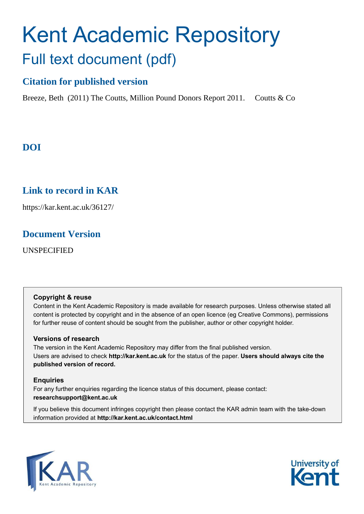# Kent Academic Repository Full text document (pdf)

### **Citation for published version**

Breeze, Beth (2011) The Coutts, Million Pound Donors Report 2011. Coutts & Co

### **DOI**

### **Link to record in KAR**

https://kar.kent.ac.uk/36127/

### **Document Version**

UNSPECIFIED

#### **Copyright & reuse**

Content in the Kent Academic Repository is made available for research purposes. Unless otherwise stated all content is protected by copyright and in the absence of an open licence (eg Creative Commons), permissions for further reuse of content should be sought from the publisher, author or other copyright holder.

#### **Versions of research**

The version in the Kent Academic Repository may differ from the final published version. Users are advised to check **http://kar.kent.ac.uk** for the status of the paper. **Users should always cite the published version of record.**

#### **Enquiries**

For any further enquiries regarding the licence status of this document, please contact: **researchsupport@kent.ac.uk**

If you believe this document infringes copyright then please contact the KAR admin team with the take-down information provided at **http://kar.kent.ac.uk/contact.html**



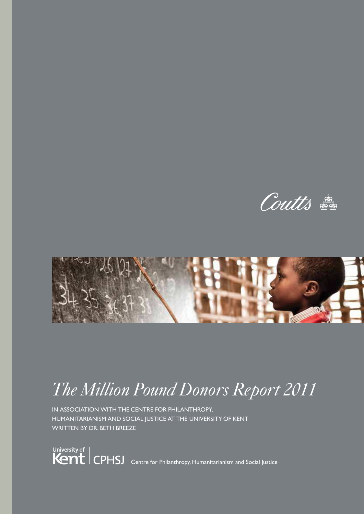Coutts



# *The Million Pound Donors Report 2011*

IN ASSOCIATION WITH THE CENTRE FOR PHILANTHROPY, HUMANITARIANISM AND SOCIAL JUSTICE AT THE UNIVERSITY OF KENT WRITTEN BY DR. BETH BREEZE

University of<br> **CPHSJ** Centre for Philanthropy, Humanitarianism and Social Justice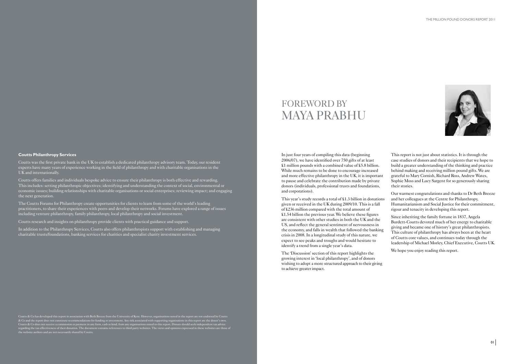

In just four years of compiling this data (beginning 2006/07), we have identified over 750 gifts of at least £1 million pounds with a combined value of £5.8 billion. While much remains to be done to encourage increased and more effective philanthropy in the UK, it is important to pause and celebrate the contribution made by private donors (individuals, professional trusts and foundations, and corporations).

This year's study records a total of £1.3 billion in donations given or received in the UK during 2009/10. This is a fall of £236 million compared with the total amount of £1.54 billion the previous year. We believe these figures are consistent with other studies in both the UK and the US, and reflect the general sentiment of nervousness in the economy, and falls in wealth that followed the banking crisis in 2008. In a longitudinal study of this nature, we expect to see peaks and troughs and would hesitate to identify a trend from a single year's data.

The 'Discussion' section of this report highlights the growing interest in 'local philanthropy', and of donors wishing to adopt a more structured approach to their giving to achieve greater impact.

This report is not just about statistics. It is through the case studies of donors and their recipients that we hope to build a greater understanding of the thinking and practice behind making and receiving million pound gifts. We are grateful to Mary Cornish, Richard Ross, Andrew Wates, Sophie Moss and Lucy Sargent for so generously sharing their stories.

Our warmest congratulations and thanks to Dr Beth Breeze and her colleagues at the Centre for Philanthropy, Humanitarianism and Social Justice for their commitment, rigour and tenacity in developing this report.

Since inheriting the family fortune in 1837, Angela Burdett-Coutts devoted much of her energy to charitable giving and became one of history's great philanthropists. This culture of philanthropy has always been at the heart of Coutts core values, and continues today through the leadership of Michael Morley, Chief Executive, Coutts UK.

We hope you enjoy reading this report.

Coutts & Co has developed this report in association with Beth Breeze from the University of Kent. However, organisations noted in the report are not endorsed by Coutts & Co and the report does not constitute recommendations for funding or investment. Any risk associated with supporting organisations in this report are the donor's own. Coutts & Co does not receive a commission or payment in any form, cash or kind, from any organisations noted in this report. Donors should seek independent tax advice regarding the tax effectiveness of their donation. The document contains references to third party websites. The views and opinions expressed in these websites are those of the website authors and are not necessarily shared by Coutts.

### FOREWORD BY MAYA PRABHU

#### **Coutts Philanthropy Services**

Coutts was the first private bank in the UK to establish a dedicated philanthropy advisory team. Today, our resident experts have many years of experience working in the field of philanthropy and with charitable organisations in the UK and internationally.

Coutts offers families and individuals bespoke advice to ensure their philanthropy is both effective and rewarding. This includes: setting philanthropic objectives; identifying and understanding the context of social, environmental or economic issues; building relationships with charitable organisations or social enterprises; reviewing impact; and engaging the next generation.

The Coutts Forums for Philanthropy create opportunities for clients to learn from some of the world's leading practitioners, to share their experiences with peers and develop their networks. Forums have explored a range of issues including venture philanthropy, family philanthropy, local philanthropy and social investment.

Coutts research and insights on philanthropy provide clients with practical guidance and support.

In addition to the Philanthropy Services, Coutts also offers philanthropists support with establishing and managing charitable trusts/foundations, banking services for charities and specialist charity investment services.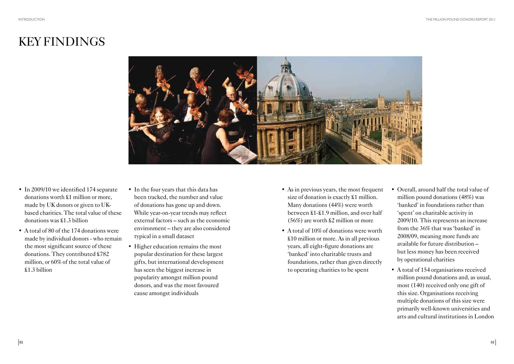- In 2009/10 we identified 174 separate donations worth £1 million or more, made by UK donors or given to UK based charities. The total value of these donations was £1.3 billion
- A total of 80 of the 174 donations were made by individual donors - who remain the most significant source of these donations. They contributed £782 million, or 60% of the total value of £1.3 billion
- In the four years that this data has been tracked, the number and value of donations has gone up and down. While year-on-year trends may reflect external factors – such as the economic environment – they are also considered typical in a small dataset
- Higher education remains the most popular destination for these largest gifts, but international development has seen the biggest increase in popularity amongst million pound donors, and was the most favoured cause amongst individuals
- As in previous years, the most frequent size of donation is exactly  $$1$  million. Many donations (44%) were worth between £1-£1.9 million, and over half (56%) are worth £2 million or more
- A total of  $10\%$  of donations were worth £10 million or more. As in all previous years, all eight-figure donations are 'banked' into charitable trusts and foundations, rather than given directly to operating charities to be spent

# KEY FINDINGS



- Overall, around half the total value of million pound donations (48%) was 'banked' in foundations rather than 'spent' on charitable activity in 2009/10. This represents an increase from the 36% that was 'banked' in 2008/09, meaning more funds are available for future distribution – but less money has been received by operational charities
- A total of 154 organisations received million pound donations and, as usual, most (140) received only one gift of this size. Organisations receiving multiple donations of this size were primarily well-known universities and arts and cultural institutions in London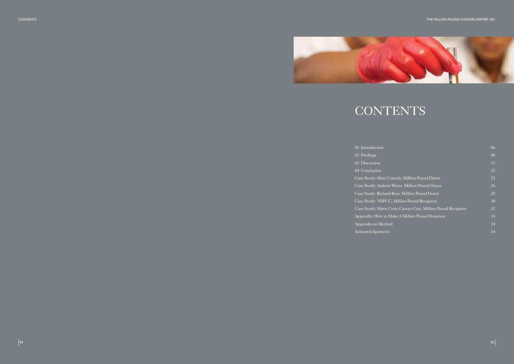CONTENTS



# CONTENTS

01 Introduction 02 Findings 03 Discussion 04 Conclusion Case Study: Mary 0 Case Study: Andrey Case Study: Richar Case Study: NSPC Case Study: Marie Appendix: How to Appendix on Metho Acknowledgements

|                                            | 06              |
|--------------------------------------------|-----------------|
|                                            | 08              |
|                                            | 15              |
|                                            | 22              |
| Cornish, Million Pound Donor               | 23              |
| v Wates, Million Pound Donor               | $\overline{26}$ |
| d Ross, Million Pound Donor                | 28              |
| C, Million Pound Recipient                 | 30              |
| Curie Cancer Care, Million Pound Recipient | 32              |
| Make A Million Pound Donation              | 33              |
| эd                                         | 34              |
| ì.                                         | $\overline{34}$ |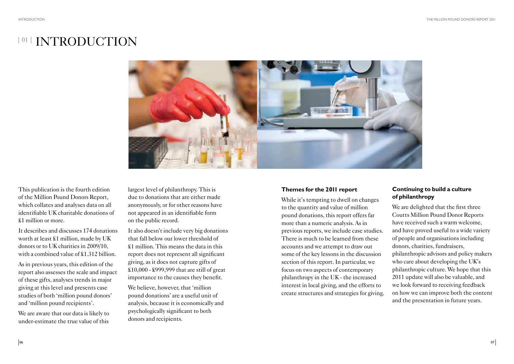# <sup>|01 |</sup> INTRODUCTION



This publication is the fourth edition of the Million Pound Donors Report, which collates and analyses data on all identifiable UK charitable donations of £1 million or more.

It describes and discusses 174 donations worth at least £1 million, made by UK donors or to UK charities in 2009/10, with a combined value of £1.312 billion.

As in previous years, this edition of the report also assesses the scale and impact of these gifts, analyses trends in major giving at this level and presents case studies of both 'million pound donors' and 'million pound recipients'.

We are aware that our data is likely to under-estimate the true value of this

We believe, however, that 'million pound donations' are a useful unit of analysis, because it is economically and psychologically significant to both donors and recipients.

largest level of philanthropy. This is due to donations that are either made anonymously, or for other reasons have not appeared in an identifiable form on the public record.

It also doesn't include very big donations that fall below our lower threshold of £1 million. This means the data in this report does not represent all significant giving, as it does not capture gifts of £10,000 - £999,999 that are still of great importance to the causes they benefit.

We are delighted that the first three Coutts Million Pound Donor Reports have received such a warm welcome, and have proved useful to a wide variety of people and organisations including donors, charities, fundraisers, philanthropic advisors and policy makers who care about developing the UK's philanthropic culture. We hope that this 2011 update will also be valuable, and we look forward to receiving feedback on how we can improve both the content and the presentation in future years.

### **Themes for the 2011 report**

While it's tempting to dwell on changes to the quantity and value of million pound donations, this report offers far more than a numeric analysis. As in previous reports, we include case studies. There is much to be learned from these accounts and we attempt to draw out some of the key lessons in the discussion section of this report. In particular, we focus on two aspects of contemporary philanthropy in the UK - the increased interest in local giving, and the efforts to create structures and strategies for giving.

### **Continuing to build a culture of philanthropy**

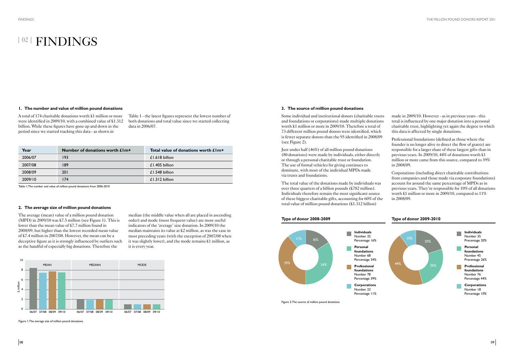#### **1. The number and value of million pound donations**

A total of 174 charitable donations worth £1 million or more were identified in 2009/10, with a combined value of £1.312 billion. While these figures have gone up and down in the period since we started tracking this data - as shown in

## <sup>| 02</sup> | FINDINGS

#### **2. The average size of million pound donations**

The average (mean) value of a million pound donation (MPD) in  $2009/10$  was £7.5 million (see Figure 1). This is lower than the mean value of £7.7 million found in 2008/09, but higher than the lowest recorded mean value of £7.4 million in 2007/08. However, the mean can be a deceptive figure as it is strongly influenced by outliers such as the handful of especially big donations. Therefore the

| Year    | Number of donations worth £1m+ | Total value of donations worth £1m+ |
|---------|--------------------------------|-------------------------------------|
| 2006/07 | 193                            | $£1.618$ billion                    |
| 2007/08 | 189                            | $£1.405$ billion                    |
| 2008/09 | <b>201</b>                     | $£1.548$ billion                    |
| 2009/10 | 174                            | £1.312 billion                      |



Table 1: The number and value of million pound donations from 2006-2010

Figure 1: The average size of million pound donations

#### **3. The source of million pound donations**

Some individual and institutional donors (charitable trusts and foundations or corporations) made multiple donations worth £1 million or more in 2009/10. Therefore a total of 73 different million pound donors were identified, which is fewer separate donors than the 95 identified in 2008/09 (see Figure 2).

Just under half (46%) of all million pound donations (80 donations) were made by individuals, either directly or through a personal charitable trust or foundation. The use of formal vehicles for giving continues to dominate, with most of the individual MPDs made via trusts and foundations.

The total value of the donations made by individuals was over three quarters of a billion pounds  $(\$782$  million). Individuals therefore remain the most significant source of these biggest charitable gifts, accounting for 60% of the total value of million pound donations (£1.312 billion)



Figure 2: The source of million pound donations

made in 2009/10. However - as in previous years - this total is influenced by one major donation into a personal charitable trust, highlighting yet again the degree to which this data is affected by single donations.

Professional foundations (defined as those where the founder is no longer alive to direct the flow of grants) are responsible for a larger share of these largest gifts than in previous years. In 2009/10, 44% of donations worth £1 million or more came from this source, compared to 39% in 2008/09.

Corporations (including direct charitable contributions from companies and those made via corporate foundations) account for around the same percentage of MPDs as in previous years. They're responsible for 10% of all donations worth £1 million or more in 2009/10, compared to 11% in 2008/09.





Table 1 - the latest figures represent the lowest number of both donations and total value since we started collecting data in 2006/07.

median (the middle value when all are placed in ascending order) and mode (most frequent value) are more useful indicators of the 'average' size donation. In 2009/10 the median maintains its value at £2 million, as was the case in most preceding years (with the exception of 2007/08 when it was slightly lower), and the mode remains £1 million, as it is every year.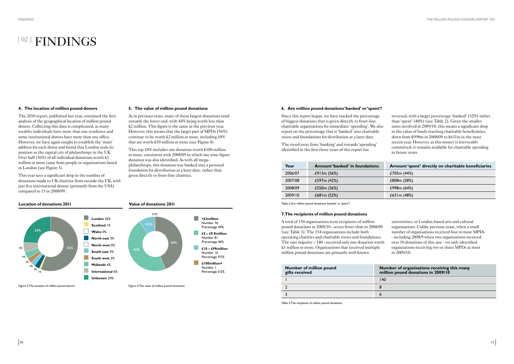### <sup>| 02</sup> | FINDINGS

#### **4. The location of million pound donors**

The 2010 report, published last year, contained the first analysis of the geographical location of million pound donors. Collecting this data is complicated, as many wealthy individuals have more than one residence and some institutional donors have more than one office. However, we have again sought to establish the 'main' address for each donor and found that London seals its position as the capital city of philanthropy in the UK. Over half (56%) of all individual donations worth £1 million or more came from people or organisations based in London (see Figure 3).

This year sees a significant drop in the number of donations made to UK charities from outside the UK, with just five international donors (primarily from the USA) compared to 15 in 2008/09.

**5. The value of million pound donations**

As in previous years, many of these largest donations tend towards the lower end, with 44% being worth less than £2 million. This figure is the same as the previous year. However, this means that the larger part of MPDs (56%) continue to be worth £2 million or more, including 10% that are worth £10 million or more (see Figure 4).

This top 10% includes one donation worth £100 million or more, consistent with 2008/09 in which one nine-figure

donation was also identified. As with all mega-

philanthropy, this donation was banked into a personal foundation for distribution at a later date, rather than

given directly to front-line charities.

Figure 3: The location of million pound donors Figure 4: The value of million pound donations

#### **6. Are million pound donations 'banked' or 'spent'?**

#### **Location of donations 2011 Value of donations 2011**







**nber of organisations receiving this many gifts received million pound donations in 2009/10**

Since this report began, we have tracked the percentage of biggest donations that is given directly to front-line charitable organisations for immediate 'spending'. We also report on the percentage that is 'banked' into charitable trusts and foundations for distribution at a later date.

The trend away from 'banking' and towards 'spending' identified in the first three years of this report has

#### **7. The recipients of million pound donations**

A total of 154 organisations were recipients of million pound donations in 2009/10 - seven fewer than in 2008/09 (see Table 3). The 154 organisations include both operating charities and charitable trusts and foundations. The vast majority – 140 - received only one donation worth £1 million or more. Organisations that received multiple million pound donations are primarily well-known

| Year    | <b>Amount 'banked' in foundations</b> | Amount 'spent' directly on charitable beneficiaries |
|---------|---------------------------------------|-----------------------------------------------------|
| 2006/07 | £913m $(56%)$                         | £705m (44%)                                         |
| 2007/08 | £597m (42%)                           | £808m (58%)                                         |
| 2008/09 | £550 $m(36%)$                         | £998m (64%)                                         |
| 2009/10 | £68 Im $(52%)$                        | £63 Im $(48%)$                                      |

Table 2: Are million pound donations 'banked' or 'spent'?

reversed, with a larger percentage 'banked' (52%) rather than 'spent' (48%) (see Table 2). Given the smaller sums involved in 2009/10, this means a significant drop in the value of funds reaching charitable beneficiaries, down from £998m in 2008/09 to £631m in the most recent year. However, as this money is irrevocably committed, it remains available for charitable spending in future years.

universities, or London-based arts and cultural organisations. Unlike previous years, when a small number of organisations received four or more MPDs - including 2008/9 when two organisations received over 10 donations of this size - we only identified organisations receiving two or three MPDs at most in 2009/10.

| Number of million pound<br>gifts received | <b>Nun</b><br>milli |
|-------------------------------------------|---------------------|
|                                           | 140                 |
|                                           |                     |
|                                           |                     |

Table 3: The recipients of million pound donations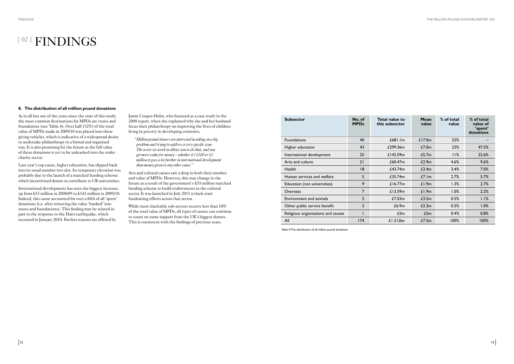#### **8. The distribution of all million pound donations**

As in all but one of the years since the start of this study, the most common destinations for MPDs are trusts and foundations (see Table 4). Over half (52%) of the total value of MPDs made in 2009/10 was placed into these giving vehicles, which is indicative of a widespread desire to undertake philanthropy in a formal and organised way. It is also promising for the future as the full value of these donations is yet to be unleashed into the wider charity sector.

Last year's top cause, higher education, has slipped back into its usual number two slot. Its temporary elevation was probably due to the launch of a matched funding scheme which incentivised donors to contribute to UK universities.

International development has seen the biggest increase, up from £53 million in 2008/09 to £143 million in 2009/10. Indeed, this cause accounted for over a fifth of all 'spent' donations (i.e. after removing the value 'banked' into trusts and foundations). This finding may be related in part to the response to the Haiti earthquake, which occurred in January 2010. Further reasons are offered by

Jamie Cooper-Hohn, who featured as a case study in the 2008 report, when she explained why she and her husband focus their philanthropy on improving the lives of children living in poverty in developing countries,

*"Million pound donors are interested in taking on a big problem and trying to address a very specific issue. The sector we work in allows you to do that, and you get more value for money – whether it's £100 or £1 million it goes a lot further in international development than money given to any other cause."*

Arts and cultural causes saw a drop in both their number and value of MPDs. However, this may change in the future as a result of the government's £55 million matched funding scheme to build endowments in the cultural sector. It was launched in July 2011 to kick-start fundraising efforts across that sector.

While most charitable sub-sectors receive less than 10% of the total value of MPDs, all types of causes can continue to count on some support from the UK's biggest donors. This is consistent with the findings of previous years.

## <sup>| 02</sup> | FINDINGS

| <b>Subsector</b>                   | No. of<br><b>MPDs</b> | <b>Total value to</b><br>this subsector | Mean<br>value | % of total<br>value | % of total<br>value of<br>'spent'<br>donations |
|------------------------------------|-----------------------|-----------------------------------------|---------------|---------------------|------------------------------------------------|
| <b>Foundations</b>                 | 40                    | £681.1m                                 | £17.0 $m$     | 52%                 |                                                |
| Higher education                   | 43                    | £299.36m                                | £7.0m         | 23%                 | 47.5%                                          |
| International development          | 25                    | £142.59m                                | L5.7m         | 11%                 | 22.6%                                          |
| Arts and culture                   | 21                    | £60.47 <sub>m</sub>                     | £2.9m         | 4.6%                | 9.6%                                           |
| Health                             | 18                    | £43.74m                                 | £2.4m         | 3.4%                | 7.0%                                           |
| Human services and welfare         | 5                     | £35.74m                                 | L7.1m         | 2.7%                | 5.7%                                           |
| Education (not universities)       | 9                     | £16.77 $m$                              | £1.9m         | 1.3%                | 2.7%                                           |
| Overseas                           | 7                     | £13.59m                                 | £1.9m         | 1.0%                | 2.2%                                           |
| Environment and animals            | $\overline{2}$        | £7.03m                                  | L3.5m         | 0.5%                | 1.1%                                           |
| Other public service benefit       | 3                     | £6.9m                                   | £2.3m         | 0.5%                | 1.0%                                           |
| Religious organisations and causes |                       | £5m                                     | £5m           | 0.4%                | 0.8%                                           |
| All                                | 174                   | £1.312bn                                | L7.5m         | 100%                | 100%                                           |

Table 4: The distribution of all million pound donations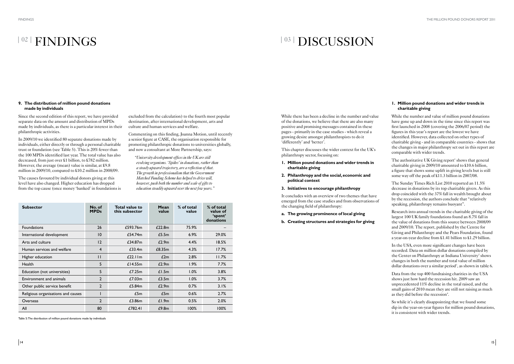# <sup>| 02</sup> | FINDINGS

# <sup>|03 |</sup> DISCUSSION

#### **9. The distribution of million pound donations made by individuals**

Since the second edition of this report, we have provided separate data on the amount and distribution of MPDs made by individuals, as there is a particular interest in their philanthropic activities.

In 2009/10 we identified 80 separate donations made by individuals, either directly or through a personal charitable trust or foundation (see Table 5). This is 20% fewer than the 100 MPDs identified last year. The total value has also decreased, from just over £1 billion, to £782 million. However, the average (mean) value is similar, at £9.8 million in 2009/10, compared to £10.2 million in 2008/09.

The causes favoured by individual donors giving at this level have also changed. Higher education has dropped from the top cause (once money 'banked' in foundations is

excluded from the calculation) to the fourth most popular destination, after international development, arts and culture and human services and welfare.

Commenting on this finding, Joanna Motion, until recently a senior figure at CASE, the organisation responsible for promoting philanthropic donations to universities globally, and now a consultant at More Partnership, says:

*"University development offices in the UK are still evolving organisms. 'Spikes' in donations, rather than a steady upward trajectory, are a reflection of that. The growth in professionalism that the Government Matched Funding Scheme has helped to drive will, however, push both the number and scale of gifts to education steadily upward over the next few years."*

The authoritative UK Giving report<sup>1</sup> shows that general charitable giving in 2009/10 amounted to £10.6 billion, a figure that shows some uplift in giving levels but is still some way off the peak of £11.3 billion in 2007/08.

| <b>Subsector</b>                   | No. of<br><b>MPDs</b> | <b>Total value to</b><br>this subsector | Mean<br>value | % of total<br>value | % of total<br>value of<br>'spent'<br>donations |
|------------------------------------|-----------------------|-----------------------------------------|---------------|---------------------|------------------------------------------------|
| Foundations                        | 26                    | £593.76m                                | £22.8m        | 75.9%               |                                                |
| International development          | $\overline{10}$       | £54.74m                                 | L5.5m         | 6.9%                | 29.0%                                          |
| Arts and culture                   | 12                    | £34.87m                                 | £2.9m         | 4.4%                | 18.5%                                          |
| Human services and welfare         | $\overline{4}$        | £33.4m                                  | £8.35m        | 4.3%                | 17.7%                                          |
| Higher education                   | $\mathsf{I}$          | £22.11m                                 | £2m           | 2.8%                | 11.7%                                          |
| <b>Health</b>                      | 5                     | £14.55m                                 | £2.9m         | 1.9%                | 7.7%                                           |
| Education (not universities)       | 5                     | £7.25m                                  | £1.5m         | 1.0%                | 3.8%                                           |
| Environment and animals            | $\overline{2}$        | £7.03m                                  | £3.5m         | 1.0%                | 3.7%                                           |
| Other public service benefit       | $\overline{2}$        | £5.84m                                  | £2.9m         | 0.7%                | 3.1%                                           |
| Religious organisations and causes |                       | L5m                                     | £5m           | 0.6%                | 2.7%                                           |
| Overseas                           | $\overline{2}$        | £3.86m                                  | £1.9m         | 0.5%                | 2.0%                                           |
| All                                | 80                    | £782.41                                 | £9.8m         | 100%                | 100%                                           |

While there has been a decline in the number and value of the donations, we believe that there are also many positive and promising messages contained in these pages - primarily in the case studies - which reveal a growing desire amongst philanthropists to do it 'differently' and 'better'.

This chapter discusses the wider context for the UK's philanthropy sector, focusing on:

- **1. Million pound donations and wider trends in charitable giving**
- **2. Philanthropy and the social, economic and political context**
- **3. Initiatives to encourage philanthropy**

It concludes with an overview of two themes that have emerged from the case studies and from observations of the changing field of philanthropy:

- **a. The growing prominence of local giving**
- **b. Creating structures and strategies for giving**

#### **1. Million pound donations and wider trends in charitable giving**

While the number and value of million pound donations have gone up and down in the time since this report was first launched in 2008 (covering the 2006/07 period) the figures in this year's report are the lowest we have identified. However, data collected on other types of charitable giving - and in comparable countries - shows that the changes in major philanthropy set out in this report are comparable with wider trends.

The Sunday Times Rich List 2010 reported an 11.5% decrease in donations by its top charitable givers. As this drop coincided with the 37% fall in wealth brought about by the recession, the authors conclude that "relatively speaking, philanthropy remains buoyant".

Research into annual trends in the charitable giving of the largest 100 UK family foundations found an 8.7% fall in the value of donations from this source between 2008/09 and 2009/10. The report, published by the Centre for Giving and Philanthropy and the Pears Foundation, found a year-on-year decline from £1.41 billion to £1.29 billion.

In the USA, even more significant changes have been recorded. Data on million dollar donations compiled by the Center on Philanthropy at Indiana University<sup>2</sup> shows changes in both the number and total value of million dollar donations over a similar period 3 , as shown in table 6.

Data from the top 400 fundraising charities in the USA shows just how hard the recession hit. 2009 saw an unprecedented 11% decline in the total raised, and the small gains of 2010 mean they are still not raising as much as they did before the recession 4 .

So while it's clearly disappointing that we found some dip in the year-on-year figures for million pound donations, it is consistent with wider trends.

Table 5: The distribution of million pound donations made by individuals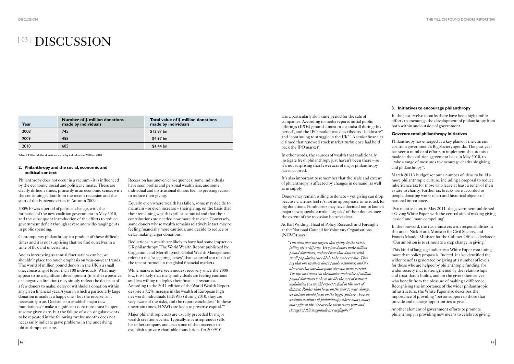## <sup>|03 |</sup> DISCUSSION

| Year | Number of \$ million donations<br>made by individuals | Total value of \$ million donations<br>made by individuals |
|------|-------------------------------------------------------|------------------------------------------------------------|
| 2008 | 745                                                   | \$12.87 bn                                                 |
| 2009 | 455                                                   | \$4.97 bn                                                  |
| 2010 | 605                                                   | \$4.44 bn                                                  |

#### **2. Philanthropy and the social, economic and political context**

Philanthropy does not occur in a vacuum - it is influenced by the economic, social and political climate. These are clearly difficult times, primarily in an economic sense, with the continuing fallout from the recent recession and the start of the Eurozone crises in Autumn 2009.

2009/10 was a period of political change, with the formation of the new coalition government in May 2010, and the subsequent introduction of the efforts to reduce government deficit through severe and wide-ranging cuts in public spending.

Contemporary philanthropy is a product of these difficult times and it is not surprising that we find ourselves in a time of flux and uncertainty.

Recession has uneven consequences; some individuals have seen profits and personal wealth rise, and some individual and institutional donors feel no pressing reason to reduce their giving.

Equally, even where wealth has fallen, some may decide to maintain – or even increase – their giving, on the basis that their remaining wealth is still substantial and that their contributions are needed now more than ever. Conversely, some donors whose wealth remains relatively intact may be feeling financially more cautious, and decide to reduce or delay making larger donations.

And as interesting as annual fluctuations can be, we shouldn't place too much emphasis on year-on-year trends. The world of million pound donors in the UK is a small one, consisting of fewer than 100 individuals. What may appear to be a significant development (in either a positive or a negative direction) may simply reflect the decision of a few donors to make, delay or withhold a donation within any given financial year. A year in which a particularly large donation is made is a happy one - but the reverse isn't necessarily true. Decisions to establish major new foundations or make a significant donations must happen at some given date, but the failure of such singular events to be repeated in the following twelve months does not necessarily indicate grave problems in the underlying philanthropic culture.

was a particularly slow time period for the sale of companies. According to media reports initial public offerings (IPOs) ground almost to a standstill during this period<sup>6</sup>, and the IPO market was described as "lacklustre" and "continuing to struggle in the UK"<sup>7</sup>. A senior financier claimed that renewed stock market turbulence had held back the IPO market<sup>8</sup>.

Reductions in wealth are likely to have had some impact on UK philanthropy. The World Wealth Report published by Capgemini and Merrill Lynch Global Wealth Management refers to the "staggering losses" that occurred as a result of the recent turmoil in the global financial markets.

While markets have seen modest recovery since the 2008 low, it is likely that many individuals are feeling cautious and less willing to deploy their financial resources. According to the 2011 edition of the World Wealth Report, despite a 7.2% increase in the wealth of European high net worth individuals (HNWIs) during 2010, they are very aware of the risks, and the report concludes: "In these uncertain times, HNWIs are keen to preserve capital."<sup>5</sup>

Major philanthropic acts are usually preceded by major wealth creation events. Typically, an entrepreneur sells his or her company and uses some of the proceeds to establish a private charitable foundation. Yet 2009/10

Table 6: Million dollar donations made by individuals in 2008 to 2010

In other words, the sources of wealth that traditionally instigate fresh philanthropy just haven't been there – so it's not surprising that fewer acts of major philanthropy have occurred.

It's also important to remember that the scale and extent of philanthropy is affected by changes in demand, as well as in supply.

Donors may remain willing to donate – yet giving can drop because charities feel it's not an appropriate time to ask for big donations. Fundraisers may have decided not to launch major new appeals or make 'big asks' of their donors once the extent of the recession became clear.

As Karl Wilding, Head of Policy, Research and Foresight at the National Council for Voluntary Organisations (NCVO) says:

 *"This data does not suggest that giving by the rich is falling off a cliff edge. Very few donors make million pound donations, and we know that datasets with small populations are likely to be more erratic. They say that one swallow doesn't make a summer, and it's also true that one data point does not make a trend. The ups and downs in the number and value of million pound donations looks to me like the sort of natural undulation you would expect to find in this sort of dataset. Rather than focus on the year to year change, we instead should focus on the bigger picture - how do we build a culture of philanthropy where many, many more gifts of this size are the norm every year and changes of this magnitude are negligible?"*

### **3. Initiatives to encourage philanthropy**

In the past twelve months there have been high profile efforts to encourage the development of philanthropy from both within and outside of government.

#### **Governmental philanthropy initiatives**

Philanthropy has emerged as a key plank of the current coalition government's Big Society agenda. The past year has seen a number of efforts to implement the promise made in the coalition agreement back in May 2010, to "take a range of measures to encourage charitable giving and philanthropy".

March 2011's budget set out a number of ideas to build a more philanthropic culture, including a proposal to reduce inheritance tax for those who leave at least a tenth of their estate to charity. Further tax breaks were accorded to people donating works of art and historical objects of national importance.

Two months later, in May 2011, the government published a Giving White Paper, with the central aim of making giving 'easier' and 'more compelling'.

In the foreword, the two ministers with responsibilities in this area - Nick Hurd, Minister for Civil Society, and Francis Maude, Minister for the Cabinet Office – declared: "Our ambition is to stimulate a step change in giving."

This kind of language indicates a White Paper containing more than policy proposals. Indeed, it also identified the wider benefits generated by giving at a number of levels: for those who are helped by philanthropic funding, for wider society that is strengthened by the relationships and trust that it builds, and for the givers themselves who benefit from the pleasure of making a difference. Recognising the importance of the wider philanthropic infrastructure, the White Paper also describes the importance of providing "better support to those that provide and manage opportunities to give".

Another element of government efforts to promote philanthropy is providing new means to celebrate giving.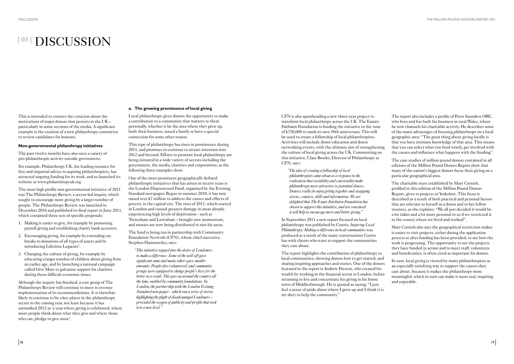## <sup>|03 |</sup> DISCUSSION

#### **a. The growing prominence of local giving**

Local philanthropy gives donors the opportunity to make a contribution to a community that matters to them personally, whether it be the area where they grew up, built their business, raised a family or have a special connection for some other reason.

This type of philanthropy has risen in prominence during 2011, and promises to continue to attract attention into 2012 and beyond. Efforts to promote local philanthropy are being initiated in a wide variety of sectors including the government, the media, charities and corporations, as the following three examples show.

One of the most prominent geographically defined philanthropic initiatives that has arisen in recent years is the London Dispossessed Fund, organised by the Evening Standard newspaper. Begun in summer 2010, it has now raised over £7 million to address the causes and effects of poverty in the capital city. The riots of 2011, which started in London and caused greatest damage in areas already experiencing high levels of deprivation - such as Tottenham and Lewisham – brought new momentum, and monies are now being distributed to riot-hit areas.

The fund is being run in partnership with Community Foundation Network (CFN), whose chief executive, Stephen Hammersley, says:

*"This initiative tapped into the desire of Londoners to make a difference. Some of the well-off gave significant sums and many others gave smaller amounts. People also volunteered, and community groups were equipped to change people's lives for the better as a result. This goes on around the country all the time, enabled by community foundations. In London, the partnership with the London Evening Standard newspaper - which ran a series of stories highlighting the plight of disadvantaged Londoners – provided the oxygen of publicity and profile that took it to a new level."*

CFN is also spearheading a new three-year project to transform local philanthropy across the UK. The Esmée Fairbairn Foundation is funding the initiative to the tune of £750,000 to mark its own 50th anniversary. This will be used to create a fellowship of local philanthropists. Activities will include donor education and donor networking events, with the ultimate aim of strengthening the culture of local giving across the UK. Commenting on this initiative, Clare Brooks, Director of Philanthropy at CFN, says:

*"The idea of creating a fellowship of local philanthropists came about as a response to the realisation that sociability and conviviality make philanthropy more attractive to potential donors. Donors really do enjoy getting together and swapping stories, contacts, skills and information. We are delighted that The Esmée Fairbairn Foundation has chosen to support this initiative, and are convinced it will help to encourage more and better giving."*

The most high profile non-governmental initiative of 2011 was The Philanthropy Review, a sector-led inquiry, which sought to encourage more giving by a larger number of people. The Philanthropy Review was launched in December 2010 and published its final report in June 2011, which contained three sets of specific proposals:

In September 2011 a new report focused on local philanthropy was published by Coutts. *Inspiring Local Philanthropy: Making a difference in local communities* was produced as a result of the many conversations Coutts has with clients who want to support the communities they care about.

The report highlights the contribution of philanthropy to local communities, showing donors how to get started, and sharing inspiring approaches and stories. One of the donors featured in the report is Andrew Preston, who created his wealth by working in the financial sector in London, before returning to live and concentrate his giving in his home town of Middlesborough. He is quoted as saying: "I just feel a sense of pride about where I grew up and I think it is my duty to help the community."

Although the inquiry has finished, a core group of The Philanthropy Review will continue to meet to oversee implementation of its recommendations. It is therefore likely to continue to be a key player in the philanthropy sector in the coming year, not least because it has earmarked 2012 as 'a year where giving is celebrated, where more people think about what they give and where those who can, pledge to give more'.

The report also includes a profile of Peter Saunders OBE, who lives and has built his business in rural Wales, where he now channels his charitable activity. He describes some of the many advantages of focusing philanthropy on a local geographic area: "The great thing about giving locally is that you have intimate knowledge of that area. This means that you can select what you fund wisely, get involved with the causes and influence what happens with the funding".

The case studies of million pound donors contained in all editions of the Million Pound Donors Report show that many of the nation's biggest donors focus their giving on a particular geographical area.

The charitable trust established by Mary Cornish, profiled in this edition of the Million Pound Donors Report, gives to projects in Yorkshire. This focus is described as a result of both practical and personal factors that are relevant to herself as a donor and to her fellow trustees, as she explains: "We all just decided it would be a lot tidier and a lot more personal to us if we restricted it to the county where we lived and worked".

Mary Cornish also says the geographical restriction makes it easier to visit projects, either during the application process or after funding has been provided, to see how the work is progressing. The opportunity to see the projects they have funded in action and to meet staff, volunteers and beneficiaries, is often cited as important for donors.

In sum, local giving is viewed by many philanthropists as an especially satisfying way to support the causes they care about, because it makes the philanthropy more meaningful, which in turn can make it more real, inspiring and enjoyable.

This is intended to counter the cynicism about the motivations of major donors that persists in the UK – particularly in some sections of the media. A significant example is the creation of a new philanthropy committee to review candidates for honours.

#### **Non-governmental philanthropy initiatives**

The past twelve months have also seen a variety of pro-philanthropic activity outside government.

For example, Philanthropy UK, the leading resource for free and impartial advice to aspiring philanthropists, has attracted ongoing funding for its work, and re-launched its website at www.philanthropyuk.org

- 1. Making it easier to give, for example by promoting payroll giving and establishing charity bank accounts.
- 2. Encouraging giving, for example by extending tax breaks to donations of all types of assets and by introducing Lifetime Legacies<sup>9</sup>.
- 3. Changing the culture of giving, for example by educating a larger number of children about giving from an earlier age, and by launching a national campaign called Give More to galvanise support for charities during these difficult economic times.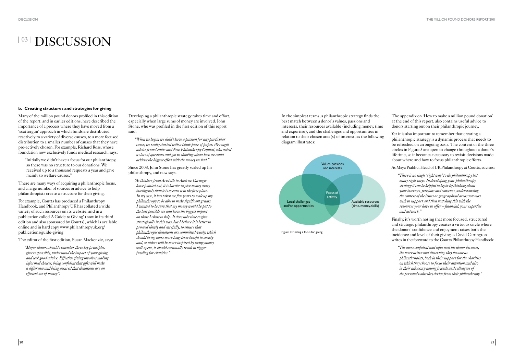## <sup>|03 |</sup> DISCUSSION

#### **b. Creating structures and strategies for giving**

Many of the million pound donors profiled in this edition of the report, and in earlier editions, have described the importance of a process where they have moved from a 'scattergun' approach in which funds are distributed reactively to a variety of diverse causes, to a more focused distribution to a smaller number of causes that they have pro-actively chosen. For example, Richard Ross, whose foundation now exclusively funds medical research, says:

There are many ways of acquiring a philanthropic focus, and a large number of sources or advice to help philanthropists create a structure for their giving.

 "Initially we didn't have a focus for our philanthropy, so there was no structure to our donations. We received up to a thousand requests a year and gave mainly to welfare causes."

For example, Coutts has produced a Philanthropy Handbook, and Philanthropy UK has collated a wide variety of such resources on its website, and in a publication called 'A Guide to Giving' (now in its third edition and also sponsored by Coutts), which is available online and in hard copy www.philanthropyuk.org/ publications/guide-giving

The editor of the first edition, Susan Mackenzie, says:

*"Major donors should remember three key principles: give responsibly, understand the impact of your giving and seek good advice. Effective giving involves making informed choices, being confident that gifts will make a difference and being assured that donations are an efficient use of money".*

Developing a philanthropic strategy takes time and effort, especially when large sums of money are involved. John Stone, who was profiled in the first edition of this report said:

Yet it is also important to remember that creating a philanthropic strategy is a dynamic process that needs to be refreshed on an ongoing basis. The content of the three circles in Figure 5 are open to change throughout a donor's lifetime, so it becomes necessary to revisit decisions made about where and how to focus philanthropic efforts.

*"When we began we didn't have a passion for any particular cause, we really started with a blank piece of paper. We sought advice from Coutts and New Philanthropy Capital, who asked us lots of questions and got us thinking about how we could achieve the biggest effect with the money we had."*

#### Since 2008, John Stone has greatly scaled up his philanthropy, and now says,

*"As thinkers from Aristotle to Andrew Carnegie have pointed out, it is harder to give money away intelligently than it is to earn it in the first place. In my case, it has taken me five years to scale up my philanthropy to be able to make significant grants. I wanted to be sure that my money would be put to the best possible use and have the biggest impact on those I chose to help. It does take time to give strategically in this way, but I believe it is better to proceed slowly and carefully, to ensure that philanthropic donations are committed wisely, which should bring more more long-term benefit to society and, as others will be more inspired by seeing money well-spent, it should eventually result in bigger funding for charities."*

The appendix on 'How to make a million pound donation' at the end of this report, also contains useful advice to donors starting out on their philanthropic journey.

As Maya Prabhu, Head of UK Philanthropy at Coutts, advises:

*"There is no single 'right way' to do philanthropy but many right ways. In developing your philanthropy strategy it can be helpful to begin by thinking about your interests, passions and concerns, understanding the context of the issues or geographical areas you may wish to support and then matching this with the resources your have to offer – financial, your expertise and network."*

Finally, it's worth noting that more focused, structured and strategic philanthropy creates a virtuous circle where the donors' confidence and enjoyment raises both the incidence and level of their giving as David Carrington writes in the foreword to the Coutts Philanthropy Handbook:

*"The more confident and informed the donor becomes, the more active and discerning they become as philanthropists, both in their support for the charities on which they choose to focus their attention and also in their advocacy among friends and colleagues of the personal value they derive from their philanthropy."*

In the simplest terms, a philanthropic strategy finds the best match between a donor's values, passions and interests, their resources available (including money, time and expertise), and the challenges and opportunities in relation to their chosen area(s) of interest, as the following diagram illustrates:



Figure 5: Finding a focus for giving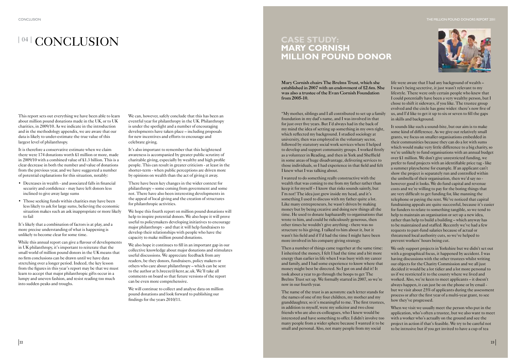### <sup>104</sup> CONCLUSION

This report sets out everything we have been able to learn about million pound donations made in the UK, or to UK charities, in 2009/10. As we indicate in the introduction and in the methodology appendix, we are aware that our data is likely to under-estimate the true value of this largest level of philanthropy.

- Decreases in wealth and associated falls in financial security and confidence - may have left donors less inclined to give away large sums
- Those seeking funds within charities may have been less likely to ask for large sums, believing the economic situation makes such an ask inappropriate or more likely to fail

It is therefore a conservative estimate when we claim there were 174 donations worth £1 million or more, made in 2009/10 with a combined value of £1.3 billion. This is a clear decrease in both the number and value of donations from the previous year, and we have suggested a number of potential explanations for this situation, notably:

It's likely that a combination of factors is at play, and a more precise understanding of what is happening is unlikely to become clear for some time.

While this annual report can give a flavour of developments in UK philanthropy, it's important to reiterate that the small world of million pound donors in the UK means that no firm conclusions can be drawn until we have data stretching over a longer period. Indeed, the key lesson from the figures in this year's report may be that we must learn to accept that major philanthropic gifts occur in a lumpy and uneven fashion, and resist reading too much into sudden peaks and troughs.

We hope this fourth report on million pound donations will help to inspire potential donors. We also hope it will prove useful to policymakers developing initiatives to encourage major philanthropy - and that it will help fundraisers to develop their relationships with people who have the capacity to make million pound donations.

We can, however, safely conclude that this has been an eventful year for philanthropy in the UK. Philanthropy is under the spotlight and a number of encouraging developments have taken place – including proposals for new incentives and efforts to encourage and celebrate giving.

It's also important to remember that this heightened awareness is accompanied by greater public scrutiny of charitable giving, especially by wealthy and high profile people. This can result in greater criticism - at least in the shorter-term - when public perceptions are driven more by opinions on wealth than the act of giving it away.

There have been key changes in the wider context for philanthropy – some coming from government and some not. There have also been interesting developments in the appeal of local giving and the creation of structures for philanthropic activities.

We also hope it continues to fill in an important gap in our collective knowledge about major donations and stimulates useful discussions. We appreciate feedback from any readers, be they donors, fundraisers, policy makers or others who care about philanthropy – which can be sent to the author at b.breeze@kent.ac.uk. We'll take all comments on board so that future versions of the report can be even more comprehensive.

We will continue to collect and analyse data on million pound donations and look forward to publishing our findings for the years 2010/11.

**Mary Cornish chairs The Brelms Trust, which she established in 2007 with an endowment of £2.6m. She was also a trustee of the Evan Cornish Foundation from 2005-10.** 

"My mother, siblings and I all contributed to set up a family foundation in my dad's name, and I was involved in that for just over five years. But I'd always had in the back of my mind the idea of setting up something in my own right, which reflected my background. I studied sociology at university, then was employed in the voluntary sector, followed by statutory social work services where I helped to develop and support community groups. I worked firstly as a volunteer in Reading, and then in York and Sheffield in some areas of huge disadvantage, delivering services to those individuals, so I had experience in that field and felt I knew what I was talking about.

> We only support projects in Yorkshire but we didn't set out with a geographical focus, it happened by accident. I was having discussions with the other trustees whilst writing our objects for the Charity Commission and we all just decided it would be a lot tidier and a lot more personal to us if we restricted it to the county where we lived and worked. Also, we're keen to meet applicants – it doesn't always happen, it can just be on the phone or by email but we visit about 25% of applicants during the assessment

I wanted to do something really constructive with the wealth that was coming to me from my father rather than keep it for myself – I know that risks sounds saintly, but I'm not! The idea just grew inside my head, and it's something I used to discuss with my father quite a lot. Like many entrepreneurs, he wasn't driven by making money but by being creative and doing new things all the time. He used to donate haphazardly to organisations that wrote to him, and could be ridiculously generous, then other times he wouldn't give anything - there was no structure to his giving. I talked to him about it, but it wasn't his field and if I'd had the time I might have been more involved in his company giving strategy.

Then a number of things came together at the same time: I inherited the money,  $\overline{I}$  felt I had the time and a bit more energy than earlier in life when I was busy with my career and family, and I had some experience to know where that money might best be directed. So I got on and did it! It took about a year to go through the hoops to get The Brelms Trust set up. We formally started in 2007, so we're now in our fourth year.

life were aware that I had any background of wealth – I wasn't being secretive, it just wasn't relevant to my lifestyle. There were only certain people who knew that I could potentially have been a very wealthy person, but I chose to shift it sideways, if you like. The trustee group evolved and the circle has gone wider: there's now five of us, and I'd like to get it up to six or seven to fill the gaps in skills and background.

It sounds like such a sound-bite, but our aim is to make some kind of difference. As we give out relatively small grants, we focus on smaller organisations embedded in their communities because they can do a lot with sums which would make very little difference to a big charity, so we're unlikely to fund organisations with an annual budget over £1 million. We don't give unrestricted funding, we prefer to fund projects with an identifiable price tag - like a summer playscheme for example. If an applicant can't show the project is separately run and controlled within the umbrella of their organisation, then we'd say no however good it looks. We do fund capital and revenue costs and we're willing to pay for the boring things that are very difficult to get funding for, like manning the telephone or paying the rent. We've noticed that capital fundraising appeals are quite successful, because it's easier for funders to relate to something tangible, so we tend to help to maintain an organisation or set up a new idea, rather than help to build a building – which anyway has to be maintained and staffed. Recently we've had a few requests to part-fund salaries because of actual or threatened local authority cuts, so we've helped to prevent workers' hours being cut.

The name of the trust is an acronym: each letter stands for the names of one of my four children, my mother and my granddaughter, so it's meaningful to me. The first trustees, in addition to myself, were my solicitor and two close friends who are also ex-colleagues, who I knew would be interested and have something to offer. I didn't involve too many people from a wider sphere because I wanted it to be small and personal. Also, not many people from my social process or after the first year of a multi-year grant, to see how they've progressed. When we visit we usually meet the person who put in the application, who's often a trustee, but we also want to meet with a worker who's actually on the ground and see the project in action if that's feasible. We try to be careful not to be intrusive but if you get invited to have a cup of tea



### **CASE STUDY: MARY CORNISH MILLION POUND DONOR**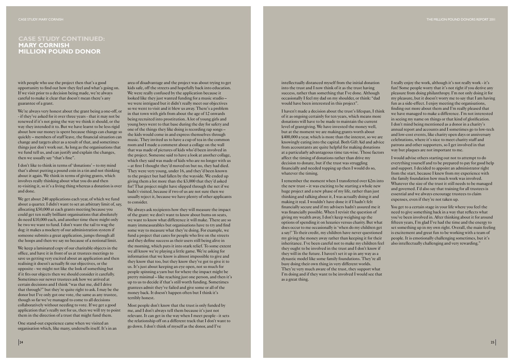with people who use the project then that's a good opportunity to find out how they feel and what's going on. If we visit prior to a decision being made, we're always careful to make it clear that doesn't mean there's any guarantee of a grant.

We're always very honest about the grant being a one-off, or - if they've asked for it over three years - that it may not be renewed if it's not going the way we think it should, or the way they intended it to. But we have learnt to be less rigid about how our money is spent because things can change so quickly – members of staff leave, the financial situation can change and targets alter as a result of that, and sometimes things just don't work out. As long as the organisations that we fund tell us, and can justify and explain the changes, then we usually say "that's fine".

I don't like to think in terms of 'donations' – to my mind that's about putting a pound coin in a tin and not thinking about it again. We think in terms of giving grants, which involves really thinking about what you do and then re-visiting it, so it's a living thing whereas a donation is over and done.

We get about 240 applications each year, of which we fund about a quarter. I didn't want to set an arbitrary limit of, say, allocating £50,000 at each grants meeting because you could get ten really brilliant organisations that absolutely do need £10,000 each, and another time there might only be two we want to fund. I don't want the tail to wag the dog: it makes a mockery of our administration system if someone submits a great application, jumps through all the hoops and then we say no because of a notional limit.

We keep a laminated copy of our charitable objects in the office, and have it in front of us at trustees meetings to save us getting very excited about an application and then realising it doesn't actually fit our objectives, or the opposite - we might not like the look of something but if it fits our objects then we should consider it carefully. Sometimes our newer trustees ask how we arrived at certain decisions and I think "was that me, did I drive that through?" but they're quite right to ask. I may be the donor but I've only got one vote, the same as any trustee, though so far we've managed to come to all decisions collaboratively without needing to vote. If we get a good application that's really not for us, then we will try to point them in the direction of a trust that might fund them.

One stand-out experience came when we visited an organisation which, like many, undersells itself. It's in an Most people don't know that the trust is only funded by me, and I don't always tell them because it's just not relevant. It can get in the way when I meet people - it sets the relationship off on a different track that I don't want to go down. I don't think of myself as the donor, and I've

area of disadvantage and the project was about trying to get kids safe, off the streets and hopefully back into education. We were really confused by the application because it looked like they just wanted funding for a music studio – we were intrigued but it didn't really meet our objectives so we went to visit and it blew us away. There's a problem in that town with girls from about the age of 12 onwards being recruited into prostitution. A lot of young girls and young boys went to that base during the day for safety and one of the things they like doing is recording rap songs – the kids would come in and express themselves through music. They invited us to have a cup of tea in the common room and I made a comment about a collage on the wall that was made of pictures of kids who'd been involved in the project. Someone said to have a look at another collage, which they said was made of kids who are no longer with us – at first I thought they'd moved on but no, they had died. They were very young, under 16, and they'd been known to the project but had fallen by the wayside. We ended up giving them a lot more than the £3,000 that they'd asked for! That project might have slipped through the net if we hadn't visited, because if two of us are not sure then we usually reject it, because we have plenty of other applicants to consider.

I really enjoy the work, although it's not really work - it's fun! Some people worry that it's not right if you derive any pleasure from doing philanthropy. I'm not only doing it for my pleasure, but it doesn't worry me to say that I am having fun as a side-effect. I enjoy meeting the organisations, finding out more about them and I'm really pleased that we have managed to make a difference. I'm not interested in seeing my name on things or that kind of glorification. I don't mind being mentioned as a donor in a charity's annual report and accounts and I sometimes go to low-tech and low-cost events, like charity open days or anniversary celebrations, where it's nice to meet charity staff and patrons and other supporters, so I get involved in that way but plaques are not important to me.

We always ask recipients how they will measure the impact of the grant: we don't want to know about bums on seats, we want to know what difference it will make. There are so many immeasurables but organisations have to try and find some way to measure what they're doing. For example, we fund a project that cares for people who live on the streets and they define success as their users still being alive in the morning, which puts it into stark relief. To some extent we all know we're playing a little game. We're asking for information that we know is almost impossible to give and they know that too, but they know they've got to give it to us. It's just about keeping an eye open, not so much for people spinning a yarn but for where the impact might be pretty minimal – like reaching just one person, and then it's up to us to decide if that's still worth funding. Sometimes grantees admit they've failed and give some or all of the money back. It doesn't happen often but I think it's terribly honest.

You get to a certain stage in your life where you feel the need to give something back in a way that reflects what you've been involved in. After thinking about it for around fifteen years, I'm glad I've had the time and the energy to set something up in my own right. Overall, the main feeling is excitement and great fun to be working with a team of people. It is emotionally challenging sometimes, but it's also intellectually challenging and very rewarding."

### **CASE STUDY CONTINUED: MARY CORNISH MILLION POUND DONOR**

intellectually distanced myself from the initial donation into the trust and I now think of it as the trust having success, rather than something that I've done. Although occasionally I feel my dad on my shoulder, or think: "dad would have been interested in this project".

I haven't made a decision about the trust's lifespan, I think of it as ongoing certainly for ten years, which means more donations will have to be made to maintain the current level of grantgiving. We have invested the money well, but at the moment we are making grants worth about £400,000 a year, which is more than the interest, so we are knowingly eating into the capital. Both Gift Aid and advice from accountants are quite helpful for making donations at a particularly advantageous time tax-wise. Those factors affect the timing of donations rather than drive my decision to donate, but if the trust was struggling financially and needed topping up then I would do so, whatever the timing.

I remember the moment when I transferred over £2m into the new trust – it was exciting to be starting a whole new huge project and a new phase of my life, rather than just thinking and talking about it, I was actually doing it and making it real. I wouldn't have done it if I hadn't felt financially secure and if my advisers hadn't assured me it was financially possible. When I revisit the question of giving my wealth away, I don't keep weighing up the options of spending it on luxuries versus charity. But what does occur to me occasionally is 'when do my children get a say?' To their credit, my children have never questioned my giving the money away rather than keeping it for their inheritance. I've been careful not to make my children feel they ought to be involved in the trust and I don't know if they will in the future. I haven't set it up in any way as a dynastic model like some family foundations. They're all busy doing their own thing in very different worlds. They're very much aware of the trust, they support what I'm doing and if they want to be involved I would see that as a great thing.

I would advise others starting out not to attempt to do everything yourself and to be prepared to pay for good help and support. I decided to appoint an administrator right from the start, because I knew from my experience with the family foundation how much work was involved. Whatever the size of the trust it still needs to be managed and governed. I'd also say that training for all trustees is essential and we always encourage trustees to claim expenses, even if they're not taken up.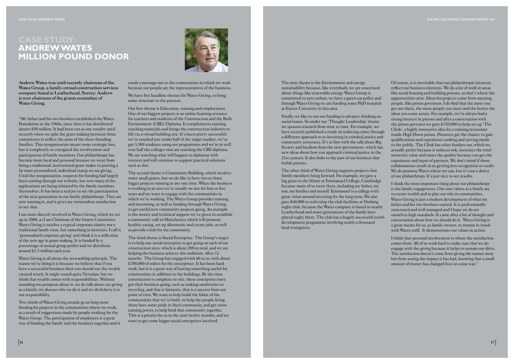**Andrew Wates was until recently chairman of the Wates Group, a family-owned construction services company based in Leatherhead, Surrey. Andrew is now chairman of the grants committee of Wates Giving.**

"My father and his two brothers established the Wates Foundation in the 1960s, since then it has distributed almost £90 million. It had been run as one totality until recently when we split the grant making between three committees to reflect the arms of the three founding families. This reorganisation meant some strategic loss, but it completely re-energised the involvement and participation of family members. Our philanthropy has become more local and personal because we went from being a traditional, institutional grant maker to putting a far more personalised, individual stamp on our giving. Until the reorganisation, requests for funding had largely been coming through our website, but now many of the applications are being initiated by the family members themselves. It has been a real joy to see the participation of the next generation in our family philanthropy. They are now running it, and it gives me tremendous satisfaction to see that.

We have five headline themes for Wates Giving, to bring some structure to the process:

I am more directly involved in Wates Giving, which we set up in 2008, as I am Chairman of the Grants Committee. Wates Giving is neither a typical corporate charity nor a traditional family trust, but something in between. I call it 'personalised corporate giving' and think it is a reflection of the new age in grant making. It is funded by a percentage of annual group profits and we distribute around £1.5 million each year.

Wates Giving is all about the stewardship principle. The reason we're doing it is because we believe that if you have a successful business then you should use the wealth created wisely. It might sound quite Victorian, but we think that wealth comes with responsibilities. Without sounding too pompous about it, we do talk about our giving as a family; we discuss why we do it and we do believe it is our responsibility.

Two-thirds of Wates Giving awards go on long-term funding for projects in the communities where we work, as a result of suggestions made by people working for the Wates Group. The participation of employees is a great way of binding the family and the business together and it

sends a message out to the communities in which we work because our people are the representatives of the business.

Our first theme is Education, training and employment. One of our biggest projects is an online learning resource for teachers and students of the Construction and the Built Environment (CBE) Diploma. It complements existing teaching materials and brings the construction industry to life via a virtual building site. It's been pretty successful: we've reached just under half of the target market, we've got 3,500 students using our programmes and we're in well over half the colleges that are teaching the CBE diploma. We are watching what will happen to diplomas with interest and will continue to support practical solutions such as this.

The second theme is Community Building, which involves many small grants, but we do like to have two or three bigger projects running at any one time. When the business is working in an area we're usually on site for four or five years and we want to engage with the communities in which we're working. The Wates Group provides training and mentoring, as well as funding through Wates Giving, to get useful new community projects going. An example is the money and technical support we've given to establish a community café in Manchester, which will promote healthy eating, set up allotments and create jobs, as well as provide a hub for the community.

I think the most important thing about our philanthropy is the family engagement. Our core values as a family are to create wealth and to play our role in communities. Wates Giving is just a modern development of what my father and his two brothers started. It is professionally structured and well managed and I hope we do set ourselves high standards. It came after a lot of thought and conversation about how we should do it. Wates Giving is a great means for us, as family owners, to remain in touch with Wates staff. It demonstrates our values in action.

The third theme is Social Enterprise. The Group's target is to help one social enterprise to get going on each of our construction sites, which is about 200 in total, and we are helping the business achieve this ambition. After 12 months The Group has engaged with 60 or so, with about £700,000 of orders for the enterprises. It has been hard work, but it is a great way of leaving something useful for communities in addition to the buildings. By the time construction is complete on site, these enterprises have got their business going, such as making sandwiches or recycling, and that is fantastic, that is a success from our point of view. We want to help build the fabric of the communities that we've built, to help the people living there have some pride in their community, and get some earning power, to help bind that community together. This is a priority for us in the next twelve months, and we want to get some bigger social enterprises involved.

# **ANDREW WATES MILLION POUND DONOR**



The next theme is the Environment and energy sustainability because, like everybody, we are concerned about things like renewable energy. Wates Group is committed to zero carbon, we have a green car policy and through Wates Giving we are funding some PhD research at Exeter University in this area.

Finally, we like to use our funding to advance thinking on social issues. So under our 'Thought Leadership' theme we sponsor research from time to time. For example, we have recently published a study on reducing crime through a different approach to re-investing in criminal justice and community sentences. It's in line with the talk about Big Society and localism from the new government, which has new ideas about how you approach criminal justice in the 21st century. It also links to the part of our business that builds prisons.

The other third of Wates Giving supports projects that family members bring forward. For example, we gave a big grant to the library at Emmanuel College, Cambridge because many of us went there, including my father, my son, my brother and myself. Emmanuel is a college with great vision around investing for the long term, We also gave £60,000 to redevelop the club facilities at Dorking rugby club, because the Wates company is based in nearby Leatherhead and many generations of the family have played rugby there. The club has a hugely successful youth development programme involving nearly a thousand local youngsters.

Of course, it is inevitable that our philanthropic interests reflect our business interests. We do a lot of work in areas like social housing and building prisons, so that's where the opportunities arise. Ideas for projects come from meeting people, like prison governors. I do find that the more you get out there, the more people you meet and the better the ideas you come across. For example, we've always had a strong interest in prisons and after a conversation with the prison governor we gave £150,000 to help set up 'The Clink', a highly innovative idea for a training restaurant inside High Down prison. Prisoners get the chance to gain qualifications and experience cooking and serving meals to the public. The Clink has other funders too, which we actually prefer because it reduces risk, increases the total monetary value and raises the quality because you get the experience and input of partners. We don't mind if those collaborations result in us getting less recognition or credit. We do promote Wates where we can, but it's not a driver of our philanthropy. It's just nice to see results.

I think that personal involvement is where the satisfaction comes from. All of us work hard to make sure that we do engage with the giving because it helps to sustain our drive. The satisfaction doesn't come from giving the money away but from seeing the impact it has had, knowing that a small amount of money has changed lives in some way."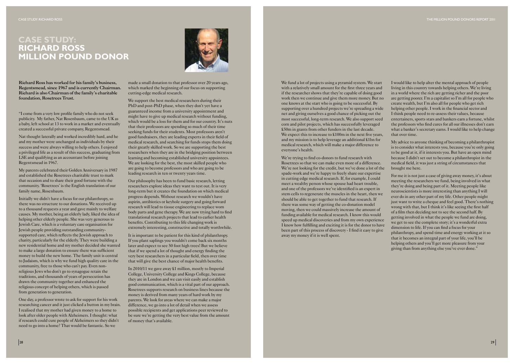**Richard Ross has worked for his family's business, Regentsmead, since 1967 and is currently Chairman. Richard is also Chairman of the family's charitable foundation, Rosetrees Trust.**

"I come from a very low profile family who do not seek publicity. My father, Nat Rosenbaum, came to the UK as a baby, left school at 13 to work in a market and eventually created a successful private company, Regentsmead.

Nat thought laterally and worked incredibly hard, and he and my mother were unchanged as individuals by their success and were always willing to help others. I enjoyed a privileged life as a result of this success, graduating from  $LSE$  and qualifying as an accountant before joining Regentsmead in 1967.

My parents celebrated their Golden Anniversary in 1987 and established the Rosetrees charitable trust to mark that occasion and to share their good fortune with the community. 'Rosetrees' is the English translation of our family name, Rosenbaum.

Initially we didn't have a focus for our philanthropy, so there was no structure to our donations. We received up to a thousand requests a year and gave mainly to welfare causes. My mother, being an elderly lady, liked the idea of helping other elderly people. She was very generous to Jewish Care, which is a voluntary care organisation for Jewish people providing outstanding communitysupported care, which reflects the Jewish approach to charity, particularly for the elderly. They were building a new residential home and my mother decided she wanted to make a large donation to ensure there was sufficient money to build the new home. The family unit is central to Judaism, which is why we fund high quality care in the community, free to those who can't pay. Even nonreligious Jews who don't go to synagogue retain the traditions, and thousands of years of persecution has drawn the community together and enhanced the religious concept of helping others, which is passed from generation to generation.

We support the best medical researchers during their PhD and post-PhD phase, when they don't yet have a guaranteed income from a university appointment and might have to give up medical research without funding, which would be a loss for them and for our country. It's nuts that their professors are spending so much of their time seeking funds for their students. Most professors aren't good fundraisers, they are leading experts in their field of medical research, and searching for funds stops them doing their greatly skilled work. So we are supporting the best researchers when they are in the bridging position between learning and becoming established university appointees. We are looking for the best, the most skilled people who are going to become professors and who are going to be leading research in ten or twenty years time.

One day, a professor wrote to ask for support for his work researching cancer and it just clicked a button in my brain. I realised that my mother had given money to a home to look after older people with Alzheimers. I thought: what if research could cure people of Alzheimers so they didn't need to go into a home? That would be fantastic. So we

made a small donation to that professor over 20 years ago, which marked the beginning of our focus on supporting cutting-edge medical research.

> We're trying to find co-donors to fund research with Rosetrees so that we can make even more of a difference. We're not looking for the credit, but we've done a lot of the spade-work and we're happy to freely share our expertise in cutting edge medical research. If, for example, I could meet a wealthy person whose spouse had heart trouble, and one of the professors we've identified is an expert in stem cells to regenerate the muscles in the heart, then we should be able to get together to fund that research. If there was some way of getting the co-donation model moving, then we could massively increase the amount of funding available for medical research. I know this would speed up medical discoveries and from my own experience I know how fulfilling and exciting it is for the donor to have been part of this process of discovery - I find it easy to give away my money if it is well spent.

Our philosophy has been to fund basic research, letting researchers explore ideas they want to test out. It is very long-term but it creates the foundation on which medical progress depends. Without research we wouldn't have aspirin, antibiotics or keyhole surgery and going forward research will lead to tissue engineering to replace worn body parts and gene therapy. We are now trying hard to find translational research projects that lead to earlier health benefits. Contributing to this life changing work is extremely interesting, constructive and totally worthwhile.

It is important to be patient for this kind of philanthropy. If you plant saplings you wouldn't come back six months later and expect to see 50 foot high trees! But we believe that if we spend a lot of thought and energy finding the very best researchers in a particular field, then over time that will give the best chance of major health benefits.

In 2010/11 we gave away £1 million, mostly to Imperial College, University College and Kings College, because they are in London and we can visit easily and establish good communication, which is a vital part of our approach. Rosetrees supports research on business lines because the money is derived from many years of hard work by my parents. We look for areas where we can make a major difference, we go into a lot of detail when we assess possible recipients and get applications peer reviewed to be sure we're getting the very best value from the amount of money that's available.

### **CASE STUDY: RICHARD ROSS MILLION POUND DONOR**



We fund a lot of projects using a pyramid system. We start with a relatively small amount for the first three years and if the researcher shows that they're capable of doing good work then we continue and give them more money. But no one knows at the start who is going to be successful. By supporting over a hundred projects we're spreading a wide net and giving ourselves a good chance of picking out the most successful, long-term research. We also support seed corn and pilot projects, which has successfully leveraged £50m in grants from other funders in the last decade. We expect this to increase to  $$100m$  in the next five years, and my mission is to help leverage an additional £1bn for medical research, which will make a major difference to everyone's health.

I would like to help alter the mental approach of people living in this country towards helping others. We're living in a world where the rich are getting richer and the poor are getting poorer. I'm a capitalist so I'm all for people who create wealth, but I'm also all for people who get rich helping other people. I work in the financial sector and I think people need to re-assess their values, because entertainers, sports stars and bankers earn a fortune, whilst the professors who find cures for all our illnesses don't earn what a banker's secretary earns. I would like to help change that over time.

My advice to anyone thinking of becoming a philanthropist is to consider what interests you, because you're only going to be good at it, if it interests you. But have an open mind because I didn't set out to become a philanthropist in the medical field, it was just a string of circumstances that brought me here.

For me it is not just a case of giving away money, it's about meeting the researchers we fund, being involved in what they're doing and being part of it. Meeting people like neuroscientists is more interesting than anything I will ever do in any other part of my life. Other people might just want to write a cheque and feel good. There's nothing wrong with that, but I think it's like seeing the first half of a film then deciding not to see the second half. By getting involved in what the people we fund are doing, we get to see the complete story; it's a wonderful extra dimension to life. If you can find a focus for your philanthropy, and spend time and energy working at it so that it becomes an integral part of your life, you'll be helping others and you'll get more pleasure from your giving than from anything else you've ever done."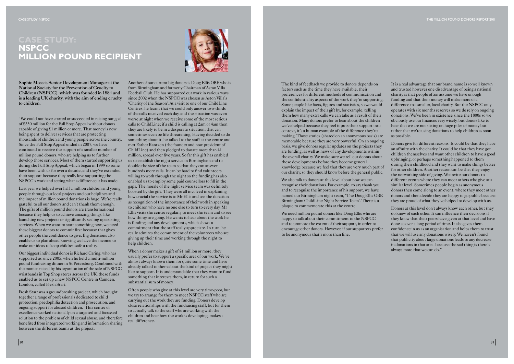**Sophie Moss is Senior Development Manager at the National Society for the Prevention of Cruelty to Children (NSPCC), which was founded in 1884 and is a leading UK charity, with the aim of ending cruelty to children.**

"We could not have started or succeeded in raising our goal of £250 million for the Full Stop Appeal without donors capable of giving £1 million or more. That money is now being spent to deliver services that are protecting thousands of children and young people across the country. Since the Full Stop Appeal ended in 2007, we have continued to receive the support of a smaller number of million pound donors, who are helping us to further develop those services. Most of them started supporting us during the Full Stop Appeal, which began in 1999 so some have been with us for over a decade, and they've extended their support because they really love supporting the NSPCC's work and seeing what a difference it has made.

Last year we helped over half a million children and young people through our local projects and our helplines and the impact of million pound donations is huge. We're really grateful to all our donors and can't thank them enough. The gifts of million pound donors are transformational because they help us to achieve amazing things, like launching new projects or significantly scaling up existing services. When we want to start something new, we need these biggest donors to commit first because that gives other people the confidence to give. Big donations also enable us to plan ahead knowing we have the income to make our ideas to keep children safe a reality.

Our biggest individual donor is Richard Caring, who has supported us since 2005, when he held a multi-million pound fundraising dinner in St Petersburg. Combined with the monies raised by his organisation of the sale of NSPCC wristbands in Top Shop stores across the UK, these funds enabled us to set up a new NSPCC Centre in Camden, London, called Fresh Start.

Fresh Start was a groundbreaking project, which brought together a range of professionals dedicated to child protection, paedophilia detection and prosecution, and ongoing support for abused children. This centre of excellence worked nationally on a targeted and focussed solution to the problem of child sexual abuse, and therefore benefited from integrated working and information sharing between the different teams at the project.

When a donor makes a gift of  $$1$  million or more, they usually prefer to support a specific area of our work. We've almost always known them for quite some time and have already talked to them about the kind of project they might like to support. It is understandable that they want to fund something that interests them, in return for such a substantial sum of money.

We also talk to donors at this level about how we can recognise their donations. For example, to say thank you and to recognise the importance of his support, we have named our Birmingham night team, 'The Doug Ellis OBE Birmingham ChildLine Night Service Team'. There is a plaque to commemorate this at the centre.

Another of our current big donors is Doug Ellis OBE who is from Birmingham and formerly Chairman of Aston Villa Football Club. He has supported our work in various ways since 2002 when the NSPCC was chosen as Aston Villa's 'Charity of the Season'. At a visit to one of our ChildLine Centres, he learnt that we could only answer two-thirds of the calls received each day, and the situation was even worse at night when we receive some of the most serious calls to ChildLine; if a child is calling at 2am or 4am then they are likely to be in a desperate situation, that can sometimes even be life threatening. Having decided to do something about it, he talked to the staff at the centre and met Esther Rantzen (the founder and now president of ChildLine) and then pledged to donate more than £1 million, spread over five years. So far this gift has enabled us to establish the night service in Birmingham and to double the size of the team so that they can answer hundreds more calls. It can be hard to find volunteers willing to work through the night so the funding has also enabled us to employ some paid counsellors to fill in the gaps. The morale of the night service team was definitely boosted by the gift. They were all involved in explaining how crucial the service is to Mr Ellis and see the donation as recognition of the importance of their work in speaking to children who have no one else to turn to every day. Mr Ellis visits the centre regularly to meet the team and to see how things are going. He wants to hear about the work he is funding and any developments, which shows a commitment that the staff really appreciate. In turn, he really admires the commitment of the volunteers who are giving up their time and working through the night to help children.

Often people who give at this level are very time-poor, but we try to arrange for them to meet NSPCC staff who are carrying out the work they are funding. Donors develop close relationships with the fundraising staff, but for them to actually talk to the staff who are working with the children and hear how the work is developing, makes a real difference.

# **NSPCC MILLION POUND RECIPIENT**



The kind of feedback we provide to donors depends on factors such as the time they have available, their preferences for different methods of communication and the confidentiality aspects of the work they're supporting. Some people like facts, figures and statistics, so we would explain the impact of their gift by, for example, telling them how many extra calls we can take as a result of their donation. Many donors prefer to hear about the children we've helped because they feel it puts their support into context, it's a human example of the difference they're making. Those stories (shared on an anonymous basis) are memorable because they are very powerful. On an ongoing basis, we give donors regular updates on the projects they are funding, as well as news of any developments within the overall charity. We make sure we tell our donors about these developments before they become general knowledge because we feel that they are very much part of our charity, so they should know before the general public.

We need million pound donors like Doug Ellis who are happy to talk about their commitment to the NSPCC and to promote the extent of their support, in order to encourage other donors. However, if our supporters prefer to be anonymous that's more than fine.

It is a real advantage that our brand name is so well known and trusted however one disadvantage of being a national charity is that people often assume we have enough funding and that their money will make more of a difference to a smaller, local charity. But the NSPCC only operates with six months reserves so we do rely on ongoing donations. We've been in existence since the 1800s so we obviously use our finances very wisely, but donors like to hear that we are not sitting on huge piles of money but rather that we're using donations to help children as soon as possible.

Donors give for different reasons. It could be that they have an affinity with the charity. It could be that they have got children themselves and want other children to have a good upbringing, or perhaps something happened to them during their childhood and they want to make things better for other children. Another reason can be that they enjoy the networking side of giving. We invite our donors to different events where they can meet others who give at a similar level. Sometimes people begin as anonymous donors then come along to an event, where they meet other donors and then decide they are happy to go public because they are proud of what they've helped to develop with us.

Donors at this level don't always know each other, but they do know of each other. It can influence their decisions if they know that their peers have given at that level and have done so over a long period of time. It also gives them confidence in us as an organisation and helps them to trust that we will use any donations wisely. We haven't found that publicity about large donations leads to any decrease in donations in that area, because the sad thing is there's always more that we can do."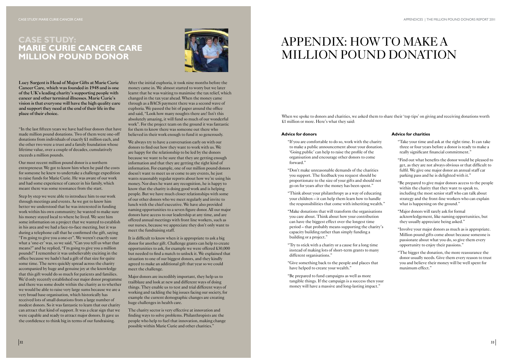**Lucy Sargent is Head of Major Gifts at Marie Curie Cancer Care, which was founded in 1948 and is one of the UK's leading charity's supporting people with cancer and other terminal illnesses. Marie Curie's vision is that everyone will have the high quality care and support they need at the end of their life in the place of their choice.**

"In the last fifteen years we have had four donors that have made million pound donations. Two of them were one-off donations from individuals of exactly £1 million each, and the other two were a trust and a family foundation whose lifetime value, over a couple of decades, cumulatively exceeds a million pounds.

Our most recent million pound donor is a northern entrepreneur. We got to know him when he paid the costs for someone he knew to undertake a challenge expedition to raise funds for Marie Curie. He was aware of our work and had some experience of cancer in his family, which meant there was some resonance from the start.

Step by step we were able to introduce him to our work through meetings and events. As we got to know him better we understood that he was interested in funding work within his own community; he wanted to make sure his money stayed local to where he lived. We sent him some information on a project that we wanted to establish in his area and we had a face-to-face meeting, but it was during a telephone call that he confirmed the gift, saying "I'm going to give you a one-er". We weren't exactly sure what a 'one-er' was, so we said, "Can you tell us what that means?" and he replied, "I'm going to give you a million pounds!" I remember it was unbelievably exciting in the office because we hadn't had a gift of that size for quite some time. The news quickly spread across the charity accompanied by huge and genuine joy at the knowledge that this gift would do so much for patients and families. We'd only recently established our major donor programme and there was some doubt within the charity as to whether we would be able to raise very large sums because we are a very broad base organisation, which historically has received lots of small donations from a large number of modest donors. So it was fantastic to learn that our charity can attract that kind of support. It was a clear sign that we were capable and ready to attract major donors. It gave us the confidence to think big in terms of our fundraising.

We always try to have a conversation early on with our donors to find out how they want to work with us. We are happy for the relationship to be led by the donors because we want to be sure that they are getting enough information and that they are getting the right kind of information. For example, one of our million pound donors doesn't want to meet us or come to any events, he just wants reasonably regular reports about how we're using his money. Nor does he want any recognition, he is happy to know that the charity is doing good work and is helping people. But we have much closer relationships with some of our other donors who we meet regularly and invite to lunch with the chief executive. We have also provided naming opportunities to a seven figure donor. All our major donors have access to our leadership at any time, and are offered annual meetings with front line workers, such as our nurses, because we appreciate they don't only want to meet the fundraising staff.

After the initial euphoria, it took nine months before the money came in. We almost started to worry but we later learnt that he was waiting to maximise the tax relief, which changed in the tax year ahead. When the money came through as a BACS payment there was a second wave of euphoria. We passed the bit of paper around the office and said, "Look how many noughts there are! Isn't this absolutely amazing, it will fund so much of our wonderful work". For the project team on the ground it was fantastic for them to know there was someone out there who believed in their work enough to fund it so generously.

When we spoke to donors and charities, we asked them to share their 'top tips' on giving and receiving donations worth £1 million or more. Here's what they said:

It is difficult to know when it is appropriate to ask a big donor for another gift. Challenge grants can help to create opportunities to ask, for example we were offered £30,000 but needed to find a match to unlock it. We explained that situation to one of our biggest donors, and they kindly agreed to make an additional gift that year so we could meet the challenge.

Major donors are incredibly important, they help us to trailblaze and look at new and different ways of doing things. They enable us to test and trial different ways of working and tackling the big issues facing our society, for example the current demographic changes are creating huge challenges in health care.

The charity sector is very effective at innovation and finding ways to solve problems. Philanthropists are the people who help to fuel that innovation, making change possible within Marie Curie and other charities."

### **CASE STUDY: MARIE CURIE CANCER CARE MILLION POUND DONOR**



# APPENDIX: HOW TO MAKE A MILLION POUND DONATION

#### **Advice for donors**

- "If you are comfortable to do so, work with the charity to make a public announcement about your donation. 'Going public' can help to raise the profile of the organisation and encourage other donors to come forward."
- "Don't make unreasonable demands of the charities you support. The feedback you request should be proportionate to the size of your gifts and should not go on for years after the money has been spent."
- "Think about your philanthropy as a way of educating your children – it can help them learn how to handle the responsibilities that come with inheriting wealth."
- "Make donations that will transform the organisations you care about. Think about how your contribution can have the biggest effect over the longest time period – that probably means supporting the charity's capacity building rather than simply funding a building or a project."
- "Try to stick with a charity or a cause for a long time instead of making lots of short-term grants to many different organisations."
- "Give something back to the people and places that have helped to create your wealth."
- "Be prepared to fund campaigns as well as more tangible things. If the campaign is a success then your money will have a massive and long-lasting impact."

#### **Advice for charities**

- "Take your time and ask at the right time. It can take three or four years before a donor is ready to make a really significant financial commitment."
- "Find out what benefits the donor would be pleased to get, as they are not always obvious or that difficult to fulfil. We give one major donor an annual staff car parking pass and he is delighted with it."
- "Be prepared to give major donors access to the people within the charity that they want to speak to, including the most senior staff who can talk about strategy and the front-line workers who can explain what is happening on the ground."
- "Major donors will rarely ask for formal acknowledgement, like naming opportunities, but they usually appreciate being asked."
- "Involve your major donors as much as is appropriate. Million pound gifts come about because someone is passionate about what you do, so give them every opportunity to enjoy their passions."
- "The bigger the donation, the more reassurance the donor usually needs. Give them every reason to trust you and believe their money will be well spent for maximum effect."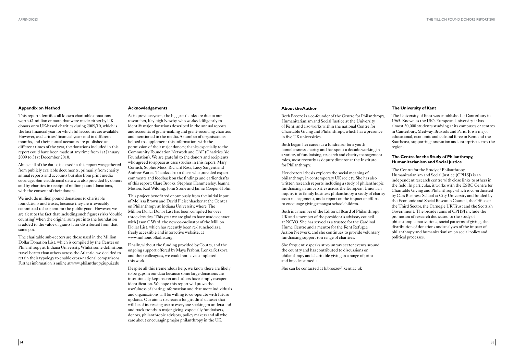#### **Appendix on Method**

This report identifies all known charitable donations worth £1 million or more that were made either by UK donors or to UK-based charities during 2009/10, which is the last financial year for which full accounts are available. However, as charities' financial years end in different months, and their annual accounts are published at different times of the year, the donations included in this report could have been made at any time from 1st January 2009 to 31st December 2010.

Almost all of the data discussed in this report was gathered from publicly available documents, primarily from charity annual reports and accounts but also from print media coverage. Some additional data was also provided by donors and by charities in receipt of million pound donations, with the consent of their donors.

We include million pound donations to charitable foundations and trusts, because they are irrevocably committed to be spent for the public good. However, we are alert to the fact that including such figures risks 'double counting' when the original sum put into the foundation is added to the value of grants later distributed from that same pot.

The charitable sub-sectors are those used in the Million Dollar Donation List, which is compiled by the Center on Philanthropy at Indiana University. Whilst some definitions travel better than others across the Atlantic, we decided to retain their typology to enable cross-national comparisons. Further information is online at www.philanthropy.iupui.edu

#### **Acknowledgements**

As in previous years, the biggest thanks are due to our researcher, Kayleigh Newby, who worked diligently to identify major donations described in the annual reports and accounts of grant-making and grant-receiving charities and mentioned in the media. A number of organisations helped to supplement this information, with the permission of their major donors; thanks especially to the Community Foundation Network and CAF (Charities Aid Foundation). We are grateful to the donors and recipients who agreed to appear as case studies in this report: Mary Cornish, Sophie Moss, Richard Ross, Lucy Sargent and Andrew Wates. Thanks also to those who provided expert comments and feedback on the findings and earlier drafts of this report: Clare Brooks, Stephen Hammersley, Joanna Motion, Karl Wilding, John Stone and Jamie Cooper-Hohn.

This project benefitted enormously from the initial input of Melissa Brown and David Fleischhacker at the Center on Philanthropy at Indiana University, where The Million Dollar Donor List has been compiled for over three decades. This year we are glad to have made contact with Jason C Ward, the new co-ordinator of the Million Dollar List, which has recently been re-launched as a freely accessible and interactive website, at www.milliondollarlist.org.

Finally, without the funding provided by Coutts, and the ongoing support offered by Maya Prabhu, Lenka Setkova and their colleagues, we could not have completed this work.

She frequently speaks at voluntary sector events around the country and has contributed to discussions on philanthropy and charitable giving in a range of print and broadcast media.

Despite all this tremendous help, we know there are likely to be gaps in our data because some large donations are intentionally kept secret and others have simply escaped identification. We hope this report will prove the usefulness of sharing information and that more individuals and organisations will be willing to co-operate with future updates. Our aim is to create a longitudinal dataset that will be of increasing use to everyone seeking to understand and track trends in major giving, especially fundraisers, donors, philanthropic advisors, policy makers and all who care about encouraging major philanthropy in the UK.

#### **The University of Kent**

The University of Kent was established at Canterbury in 1965. Known as the UK's European University, it has almost 20,000 students studying at its campuses or centres in Canterbury, Medway, Brussels and Paris. It is a major educational, economic and cultural force in Kent and the Southeast, supporting innovation and enterprise across the region.

#### **The Centre for the Study of Philanthropy, Humanitarianism and Social Justice**

The Centre for the Study of Philanthropy, Humanitarianism and Social Justice (CPHSJ) is an independent research centre with close links to others in the field. In particular, it works with the ESRC Centre for Charitable Giving and Philanthropy which is co-ordinated by Cass Business School at City University and funded by the Economic and Social Research Council, the Office of the Third Sector, the Carnegie UK Trust and the Scottish Government. The broader aims of CPHSJ include the promotion of research dedicated to the study of philanthropic motivations, social patterns of giving, the distribution of donations and analyses of the impact of philanthropy and humanitarianism on social policy and political processes.

#### **About the Author**

Beth Breeze is a co-founder of the Centre for Philanthropy, Humanitarianism and Social Justice at the University of Kent, and also works within the national Centre for Charitable Giving and Philanthropy, which has a presence in five UK universities.

Beth began her career as a fundraiser for a youth homelessness charity, and has spent a decade working in a variety of fundraising, research and charity management roles, most recently as deputy director at the Institute for Philanthropy.

Her doctoral thesis explores the social meaning of philanthropy in contemporary UK society. She has also written research reports including a study of philanthropic fundraising in universities across the European Union, an inquiry into family business philanthropy, a study of charity asset management, and a report on the impact of efforts to encourage giving amongst schoolchildren.

Beth is a member of the Editorial Board of Philanthropy UK and a member of the president's advisory council at NCVO. She has served as a trustee for the Cardinal Hume Centre and a mentor for the Kent Refugee Action Network, and she continues to provide voluntary fundraising support to a range of charities.

She can be contacted at b.breeze@kent.ac.uk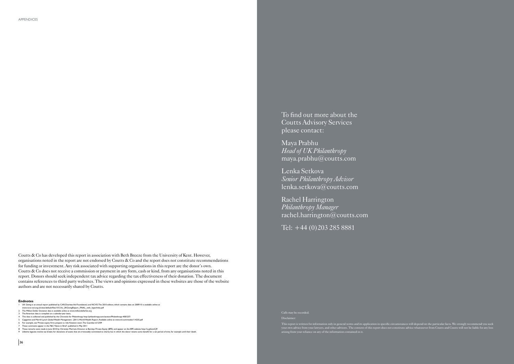- 1 UK Giving is an annual report published by CAF(Charities Aid Foundation) and NCVO. The 2010 edition, which contains data on 2009/10 is available online at
- www.ncvo-vol.org.uk/sites/default/files/101216\_UKGivingReport\_FINAL\_with\_hyperlinks.pdf<br>2 The Million Dollar Donation data is available online at www.milliondollarlist.org
- 
- 
- 3 The American data is compiled on a calendar-year basis,<br>4 This data is collected and published by the Chronicle for Philanthropy http://philanthropy.com/section/Philanthropy-400/237/<br>5 Capgemini and Perrill Lynch Global
- 
- 
- 
- 9 Lifetime legacies involve tax breaks for donations of assets that are irrevocably committed to charity but in which the donor retains some benefit for a set period of time, for example until their death

Disclaime

#### **Endnotes**

To find out more about the Coutts Advisory Services please contact:

Maya Prabhu *Head of UK Philanthropy* maya.prabhu@coutts.com

Lenka Setkova *Senior Philanthropy Advisor* lenka.setkova@coutts.com

Rachel Harrington *Philanthropy Manager* rachel.harrington@coutts.com

Tel: +44 (0)203 285 8881

This report is written for information only in general terms and its application in specific circumstances will depend on the particular facts. We strongly recommend you seek your own advice from your lawyers, and other advisors. The content of this report does not constitute advice whatsoever from Coutts and Coutts will not be liable for any loss

arising from your reliance on any of the information contained in it.

Coutts & Co has developed this report in association with Beth Breeze from the University of Kent. However, organisations noted in the report are not endorsed by Coutts  $\&$  Co and the report does not constitute recommendations for funding or investment. Any risk associated with supporting organisations in this report are the donor's own. Coutts & Co does not receive a commission or payment in any form, cash or kind, from any organisations noted in this report. Donors should seek independent tax advice regarding the tax effectiveness of their donation. The document contains references to third party websites. The views and opinions expressed in these websites are those of the website authors and are not necessarily shared by Coutts.